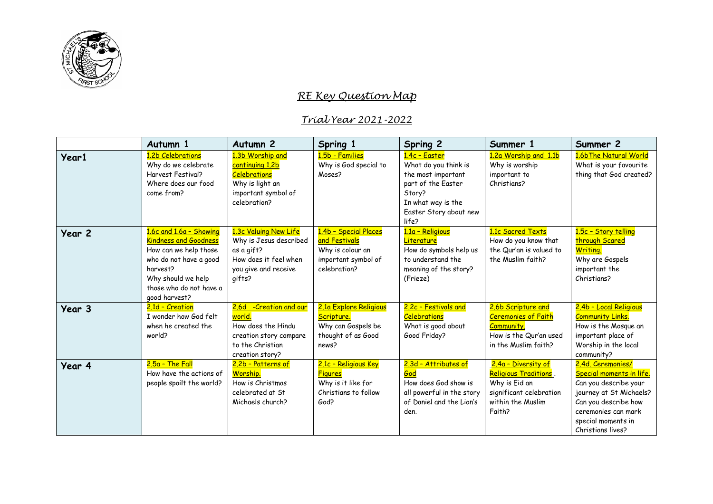

## *RE Key Question Map*

## *Trial Year 2021-2022*

|        | Autumn 1                                                                                                                                                                                 | Autumn <sub>2</sub>                                                                                                                     | Spring 1                                                                                          | Spring 2                                                                                                                                             | Summer 1                                                                                                                | Summer 2                                                                                                                                                                                           |
|--------|------------------------------------------------------------------------------------------------------------------------------------------------------------------------------------------|-----------------------------------------------------------------------------------------------------------------------------------------|---------------------------------------------------------------------------------------------------|------------------------------------------------------------------------------------------------------------------------------------------------------|-------------------------------------------------------------------------------------------------------------------------|----------------------------------------------------------------------------------------------------------------------------------------------------------------------------------------------------|
| Year1  | 1.2b Celebrations<br>Why do we celebrate<br>Harvest Festival?<br>Where does our food<br>come from?                                                                                       | 1.3b Worship and<br>continuing 1.2b<br><b>Celebrations</b><br>Why is light an<br>important symbol of<br>celebration?                    | 1.5b - Families<br>Why is God special to<br>Moses?                                                | 1.4c - Easter<br>What do you think is<br>the most important<br>part of the Easter<br>Story?<br>In what way is the<br>Easter Story about new<br>life? | 1.2a Worship and 1.1b<br>Why is worship<br>important to<br>Christians?                                                  | 1.6bThe Natural World<br>What is your favourite<br>thing that God created?                                                                                                                         |
| Year 2 | 1.6c and 1.6a - Showing<br><b>Kindness and Goodness</b><br>How can we help those<br>who do not have a good<br>harvest?<br>Why should we help<br>those who do not have a<br>good harvest? | 1.3c Valuing New Life<br>Why is Jesus described<br>as a gift?<br>How does it feel when<br>you give and receive<br>qifts?                | 1.4b - Special Places<br>and Festivals<br>Why is colour an<br>important symbol of<br>celebration? | 1.1a - Religious<br>Literature<br>How do symbols help us<br>to understand the<br>meaning of the story?<br>(Frieze)                                   | 1.1c Sacred Texts<br>How do you know that<br>the Qur'an is valued to<br>the Muslim faith?                               | 1.5c - Story telling<br>through Scared<br><b>Writing.</b><br>Why are Gospels<br>important the<br>Christians?                                                                                       |
| Year 3 | 2.1d - Creation<br>I wonder how God felt<br>when he created the<br>world?                                                                                                                | -Creation and our<br>2.6d<br><mark>world.</mark><br>How does the Hindu<br>creation story compare<br>to the Christian<br>creation story? | 2.1a Explore Religious<br>Scripture.<br>Why can Gospels be<br>thought of as Good<br>news?         | 2.2c - Festivals and<br><b>Celebrations</b><br>What is good about<br>Good Friday?                                                                    | 2.6b Scripture and<br><b>Ceremonies of Faith</b><br><b>Community.</b><br>How is the Qur'an used<br>in the Muslim faith? | 2.4b - Local Religious<br><b>Community Links.</b><br>How is the Mosque an<br>important place of<br>Worship in the local<br>community?                                                              |
| Year 4 | $2.5a - The Fall$<br>How have the actions of<br>people spoilt the world?                                                                                                                 | 2.2b - Patterns of<br>Worship.<br>How is Christmas<br>celebrated at St<br>Michaels church?                                              | 2.1c - Religious Key<br><b>Figures</b><br>Why is it like for<br>Christians to follow<br>God?      | 2.3d - Attributes of<br>God<br>How does God show is<br>all powerful in the story<br>of Daniel and the Lion's<br>den.                                 | 2.4a - Diversity of<br>Religious Traditions.<br>Why is Eid an<br>significant celebration<br>within the Muslim<br>Faith? | 2.4d. Ceremonies/<br><b>Special moments in life.</b><br>Can you describe your<br>journey at St Michaels?<br>Can you describe how<br>ceremonies can mark<br>special moments in<br>Christians lives? |